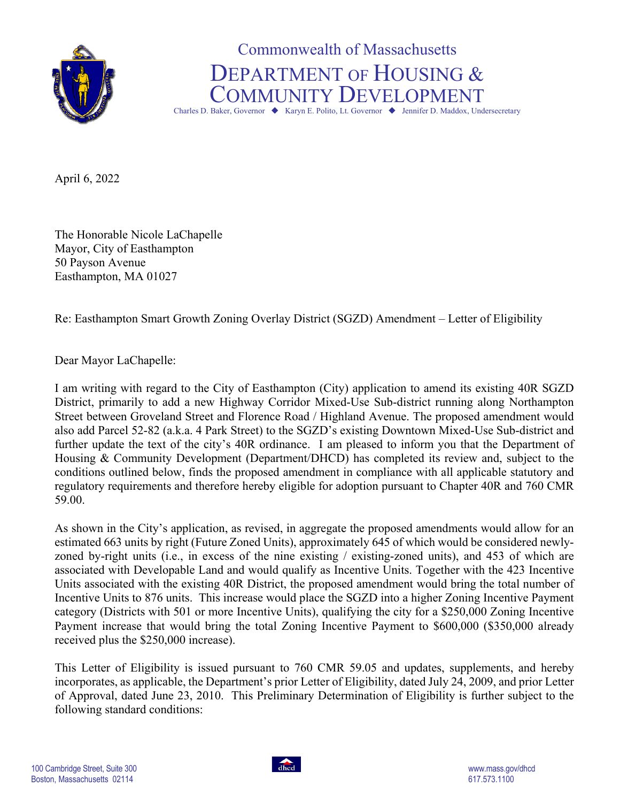

Commonwealth of Massachusetts DEPARTMENT OF HOUSING & COMMUNITY DEVELOPMENT

Charles D. Baker, Governor  $\blacklozenge$  Karyn E. Polito, Lt. Governor  $\blacklozenge$  Jennifer D. Maddox, Undersecretary

April 6, 2022

The Honorable Nicole LaChapelle Mayor, City of Easthampton 50 Payson Avenue Easthampton, MA 01027

Re: Easthampton Smart Growth Zoning Overlay District (SGZD) Amendment – Letter of Eligibility

Dear Mayor LaChapelle:

I am writing with regard to the City of Easthampton (City) application to amend its existing 40R SGZD District, primarily to add a new Highway Corridor Mixed-Use Sub-district running along Northampton Street between Groveland Street and Florence Road / Highland Avenue. The proposed amendment would also add Parcel 52-82 (a.k.a. 4 Park Street) to the SGZD's existing Downtown Mixed-Use Sub-district and further update the text of the city's 40R ordinance. I am pleased to inform you that the Department of Housing & Community Development (Department/DHCD) has completed its review and, subject to the conditions outlined below, finds the proposed amendment in compliance with all applicable statutory and regulatory requirements and therefore hereby eligible for adoption pursuant to Chapter 40R and 760 CMR 59.00.

As shown in the City's application, as revised, in aggregate the proposed amendments would allow for an estimated 663 units by right (Future Zoned Units), approximately 645 of which would be considered newlyzoned by-right units (i.e., in excess of the nine existing / existing-zoned units), and 453 of which are associated with Developable Land and would qualify as Incentive Units. Together with the 423 Incentive Units associated with the existing 40R District, the proposed amendment would bring the total number of Incentive Units to 876 units. This increase would place the SGZD into a higher Zoning Incentive Payment category (Districts with 501 or more Incentive Units), qualifying the city for a \$250,000 Zoning Incentive Payment increase that would bring the total Zoning Incentive Payment to \$600,000 (\$350,000 already received plus the \$250,000 increase).

This Letter of Eligibility is issued pursuant to 760 CMR 59.05 and updates, supplements, and hereby incorporates, as applicable, the Department's prior Letter of Eligibility, dated July 24, 2009, and prior Letter of Approval, dated June 23, 2010. This Preliminary Determination of Eligibility is further subject to the following standard conditions: